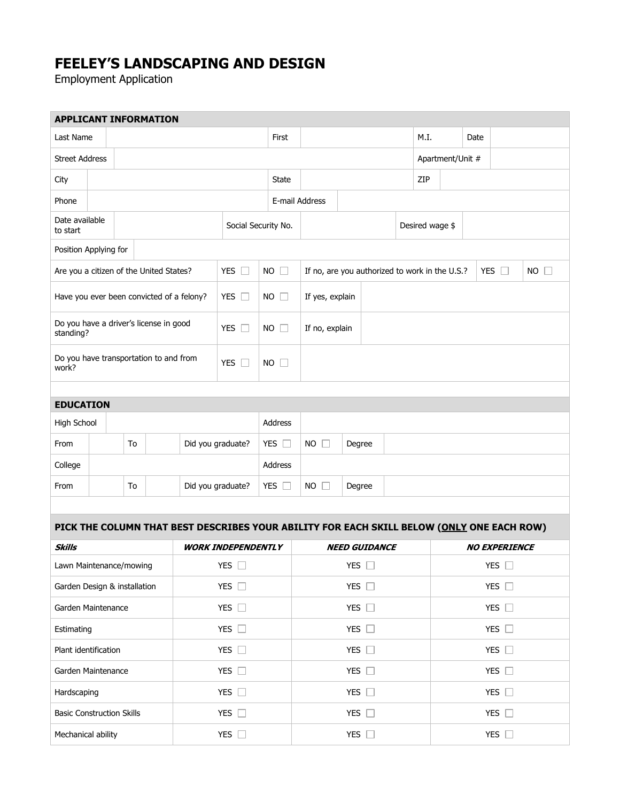## **FEELEY'S LANDSCAPING AND DESIGN**

Employment Application

| <b>APPLICANT INFORMATION</b>                        |    |  |       |                           |                                                                                           |                |                |                                                |               |  |                 |               |                      |  |            |             |
|-----------------------------------------------------|----|--|-------|---------------------------|-------------------------------------------------------------------------------------------|----------------|----------------|------------------------------------------------|---------------|--|-----------------|---------------|----------------------|--|------------|-------------|
| Last Name                                           |    |  |       |                           |                                                                                           |                | First          |                                                |               |  | M.I.            |               | Date                 |  |            |             |
| <b>Street Address</b>                               |    |  |       |                           |                                                                                           |                |                |                                                |               |  |                 |               | Apartment/Unit #     |  |            |             |
| City                                                |    |  |       |                           |                                                                                           | <b>State</b>   |                |                                                |               |  | ZIP             |               |                      |  |            |             |
| Phone                                               |    |  |       |                           |                                                                                           |                |                | E-mail Address                                 |               |  |                 |               |                      |  |            |             |
| Date available<br>to start                          |    |  |       |                           | Social Security No.                                                                       |                |                |                                                |               |  | Desired wage \$ |               |                      |  |            |             |
| Position Applying for                               |    |  |       |                           |                                                                                           |                |                |                                                |               |  |                 |               |                      |  |            |             |
| Are you a citizen of the United States?             |    |  |       |                           | YES $\square$                                                                             | <b>NO</b>      | $\Box$         | If no, are you authorized to work in the U.S.? |               |  |                 |               |                      |  | YES $\Box$ | $NO$ $\Box$ |
| Have you ever been convicted of a felony?           |    |  |       |                           | YES $\Box$<br>$NO$ $\Box$                                                                 |                |                | If yes, explain                                |               |  |                 |               |                      |  |            |             |
| Do you have a driver's license in good<br>standing? |    |  | YES O | <b>NO</b><br>$\Box$       |                                                                                           | If no, explain |                |                                                |               |  |                 |               |                      |  |            |             |
| Do you have transportation to and from<br>work?     |    |  |       |                           | YES $\Box$                                                                                | $NO$ $\Box$    |                |                                                |               |  |                 |               |                      |  |            |             |
|                                                     |    |  |       |                           |                                                                                           |                |                |                                                |               |  |                 |               |                      |  |            |             |
| <b>EDUCATION</b>                                    |    |  |       |                           |                                                                                           |                |                |                                                |               |  |                 |               |                      |  |            |             |
| High School                                         |    |  |       |                           |                                                                                           |                | <b>Address</b> |                                                |               |  |                 |               |                      |  |            |             |
| From                                                | To |  |       |                           | YES $\square$<br>Did you graduate?                                                        |                |                | $NO$ $\Box$<br>Degree                          |               |  |                 |               |                      |  |            |             |
| College                                             |    |  |       |                           |                                                                                           |                | Address        |                                                |               |  |                 |               |                      |  |            |             |
| From                                                | To |  |       |                           | Did you graduate?                                                                         |                | YES $\square$  | NO<br>$\Box$<br>Degree                         |               |  |                 |               |                      |  |            |             |
|                                                     |    |  |       |                           |                                                                                           |                |                |                                                |               |  |                 |               |                      |  |            |             |
|                                                     |    |  |       |                           | PICK THE COLUMN THAT BEST DESCRIBES YOUR ABILITY FOR EACH SKILL BELOW (ONLY ONE EACH ROW) |                |                |                                                |               |  |                 |               |                      |  |            |             |
| <b>Skills</b>                                       |    |  |       | <b>WORK INDEPENDENTLY</b> |                                                                                           |                |                | <b>NEED GUIDANCE</b>                           |               |  |                 |               | <b>NO EXPERIENCE</b> |  |            |             |
| Lawn Maintenance/mowing                             |    |  |       |                           | YES $\Box$                                                                                |                |                | YES $\Box$                                     |               |  |                 |               | YES $\Box$           |  |            |             |
| Garden Design & installation                        |    |  |       |                           | YES $\Box$                                                                                |                |                |                                                | YES $\square$ |  |                 |               | YES $\square$        |  |            |             |
| Garden Maintenance                                  |    |  |       |                           | YES $\square$                                                                             |                |                |                                                | YES $\square$ |  |                 |               | YES $\square$        |  |            |             |
| Estimating                                          |    |  |       |                           | YES $\square$                                                                             |                |                | YES $\square$                                  |               |  |                 | YES $\square$ |                      |  |            |             |
| Plant identification                                |    |  |       |                           | YES $\square$                                                                             |                |                | YES $\square$                                  |               |  |                 | YES $\square$ |                      |  |            |             |
| Garden Maintenance                                  |    |  |       |                           | YES $\square$                                                                             |                |                | YES $\square$                                  |               |  |                 | YES $\square$ |                      |  |            |             |
| Hardscaping                                         |    |  |       |                           | YES $\square$                                                                             |                |                | YES $\square$                                  |               |  |                 | YES $\square$ |                      |  |            |             |
| <b>Basic Construction Skills</b>                    |    |  |       |                           | YES $\square$                                                                             |                |                | YES $\square$                                  |               |  |                 | YES $\square$ |                      |  |            |             |
| Mechanical ability                                  |    |  |       | YES $\square$             |                                                                                           |                |                | YES $\square$                                  |               |  |                 |               | YES $\square$        |  |            |             |